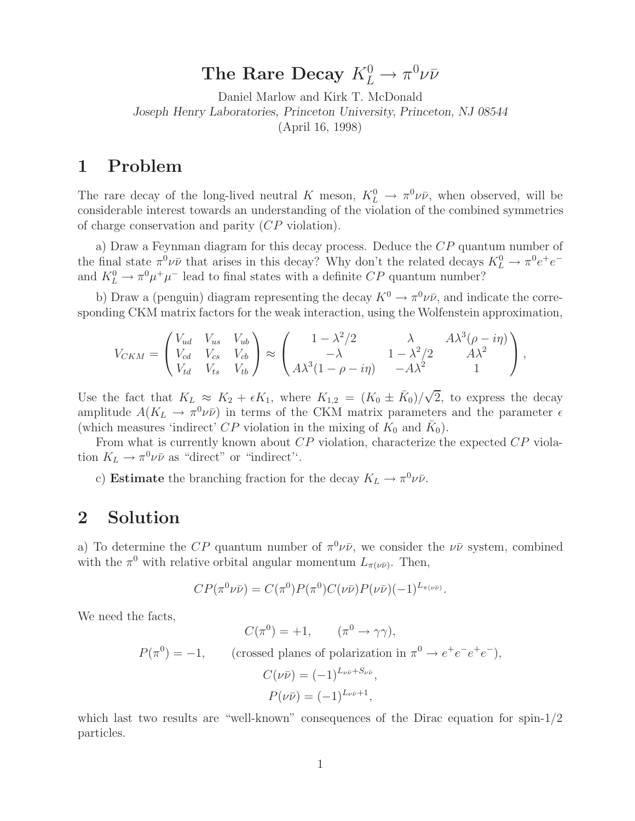## The Rare Decay  $K^0_L \rightarrow \pi^0 \nu \bar{\nu}$

Daniel Marlow and Kirk T. McDonald *Joseph Henry Laboratories, Princeton University, Princeton, NJ 08544* (April 16, 1998)

## **1 Problem**

The rare decay of the long-lived neutral K meson,  $K^0_L \to \pi^0 \nu \bar{\nu}$ , when observed, will be considerable interest towards an understanding of the violation of the combined symmetries of charge conservation and parity (CP violation).

a) Draw a Feynman diagram for this decay process. Deduce the CP quantum number of the final state  $\pi^0 \nu \bar{\nu}$  that arises in this decay? Why don't the related decays  $K^0_L \rightarrow \pi^0 e^+ e^$ and  $K^0_L \to \pi^0 \mu^+ \mu^-$  lead to final states with a definite  $CP$  quantum number?

b) Draw a (penguin) diagram representing the decay  $K^0 \to \pi^0 \nu \bar{\nu}$ , and indicate the corresponding CKM matrix factors for the weak interaction, using the Wolfenstein approximation,

$$
V_{CKM} = \begin{pmatrix} V_{ud} & V_{us} & V_{ub} \\ V_{cd} & V_{cs} & V_{cb} \\ V_{td} & V_{ts} & V_{tb} \end{pmatrix} \approx \begin{pmatrix} 1 - \lambda^2/2 & \lambda & A\lambda^3(\rho - i\eta) \\ -\lambda & 1 - \lambda^2/2 & A\lambda^2 \\ A\lambda^3(1 - \rho - i\eta) & -A\lambda^2 & 1 \end{pmatrix},
$$

Use the fact that  $K_L \approx K_2 + \epsilon K_1$ , where  $K_{1,2} = (K_0 \pm \bar{K}_0)/\sqrt{2}$ , to express the decay amplitude  $A(K_L \to \pi^0 \nu \bar{\nu})$  in terms of the CKM matrix parameters and the parameter  $\epsilon$ (which measures 'indirect' CP violation in the mixing of  $K_0$  and  $\bar{K}_0$ ).

From what is currently known about CP violation, characterize the expected CP violation  $K_L \to \pi^0 \nu \bar{\nu}$  as "direct" or "indirect".

c) **Estimate** the branching fraction for the decay  $K_L \to \pi^0 \nu \bar{\nu}$ .

## **2 Solution**

a) To determine the CP quantum number of  $\pi^0 \nu \bar{\nu}$ , we consider the  $\nu \bar{\nu}$  system, combined with the  $\pi^0$  with relative orbital angular momentum  $L_{\pi(\nu\bar{\nu})}$ . Then,

$$
CP(\pi^0 \nu \bar{\nu}) = C(\pi^0) P(\pi^0) C(\nu \bar{\nu}) P(\nu \bar{\nu}) (-1)^{L_{\pi(\nu \bar{\nu})}}.
$$

We need the facts,

$$
C(\pi^{0}) = +1, \qquad (\pi^{0} \to \gamma\gamma),
$$
  
\n
$$
P(\pi^{0}) = -1, \qquad \text{(crossed planes of polarization in } \pi^{0} \to e^{+}e^{-}e^{+}e^{-}),
$$
  
\n
$$
C(\nu\bar{\nu}) = (-1)^{L_{\nu\bar{\nu}}+S_{\nu\bar{\nu}}},
$$
  
\n
$$
P(\nu\bar{\nu}) = (-1)^{L_{\nu\bar{\nu}}+1},
$$

which last two results are "well-known" consequences of the Dirac equation for spin-1/2 particles.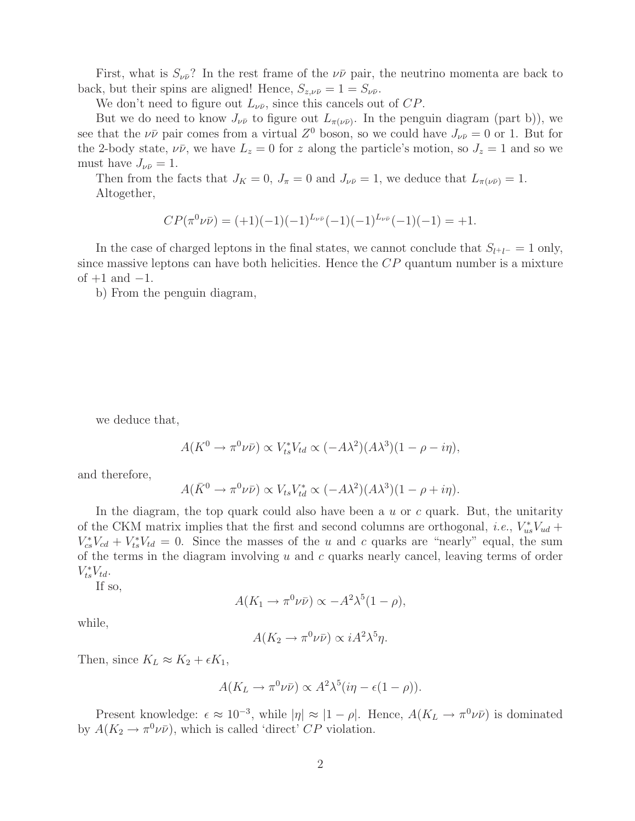First, what is  $S_{\nu \bar{\nu}}$ ? In the rest frame of the  $\nu \bar{\nu}$  pair, the neutrino momenta are back to back, but their spins are aligned! Hence,  $S_{z,\nu\bar{\nu}} = 1 = S_{\nu\bar{\nu}}$ .

We don't need to figure out  $L_{\nu\bar{\nu}}$ , since this cancels out of  $CP$ .

But we do need to know  $J_{\nu\bar{\nu}}$  to figure out  $L_{\pi(\nu\bar{\nu})}$ . In the penguin diagram (part b)), we see that the  $\nu\bar{\nu}$  pair comes from a virtual  $Z^0$  boson, so we could have  $J_{\nu\bar{\nu}} = 0$  or 1. But for the 2-body state,  $\nu\bar{\nu}$ , we have  $L_z = 0$  for z along the particle's motion, so  $J_z = 1$  and so we must have  $J_{\nu\bar{\nu}}=1$ .

Then from the facts that  $J_K = 0$ ,  $J_\pi = 0$  and  $J_{\nu \bar{\nu}} = 1$ , we deduce that  $L_{\pi(\nu \bar{\nu})} = 1$ . Altogether,

$$
CP(\pi^0\nu\bar{\nu}) = (+1)(-1)(-1)^{L_{\nu\bar{\nu}}}(-1)(-1)^{L_{\nu\bar{\nu}}}(-1)(-1) = +1.
$$

In the case of charged leptons in the final states, we cannot conclude that  $S_{l^+l^-} = 1$  only, since massive leptons can have both helicities. Hence the  $CP$  quantum number is a mixture of  $+1$  and  $-1$ .

b) From the penguin diagram,

we deduce that,

$$
A(K^{0} \to \pi^{0} \nu \bar{\nu}) \propto V_{ts}^{*} V_{td} \propto (-A\lambda^{2})(A\lambda^{3})(1 - \rho - i\eta),
$$

and therefore,

$$
A(\bar{K}^0 \to \pi^0 \nu \bar{\nu}) \propto V_{ts} V_{td}^* \propto (-A\lambda^2)(A\lambda^3)(1-\rho+i\eta).
$$

In the diagram, the top quark could also have been a  $u$  or  $c$  quark. But, the unitarity of the CKM matrix implies that the first and second columns are orthogonal, *i.e.*,  $V_{us}^*V_{ud}$  +  $V_{cs}^*V_{cd} + V_{ts}^*V_{td} = 0$ . Since the masses of the u and c quarks are "nearly" equal, the sum of the terms in the diagram involving  $u$  and  $c$  quarks nearly cancel, leaving terms of order  $V_{ts}^*V_{td}.$ 

If so,

$$
A(K_1 \to \pi^0 \nu \bar{\nu}) \propto -A^2 \lambda^5 (1 - \rho),
$$

while,

$$
A(K_2 \to \pi^0 \nu \bar{\nu}) \propto i A^2 \lambda^5 \eta.
$$

Then, since  $K_L \approx K_2 + \epsilon K_1$ ,

$$
A(K_L \to \pi^0 \nu \bar{\nu}) \propto A^2 \lambda^5 (i\eta - \epsilon (1 - \rho)).
$$

Present knowledge:  $\epsilon \approx 10^{-3}$ , while  $|\eta| \approx |1 - \rho|$ . Hence,  $A(K_L \to \pi^0 \nu \bar{\nu})$  is dominated by  $A(K_2 \to \pi^0 \nu \bar{\nu})$ , which is called 'direct' CP violation.